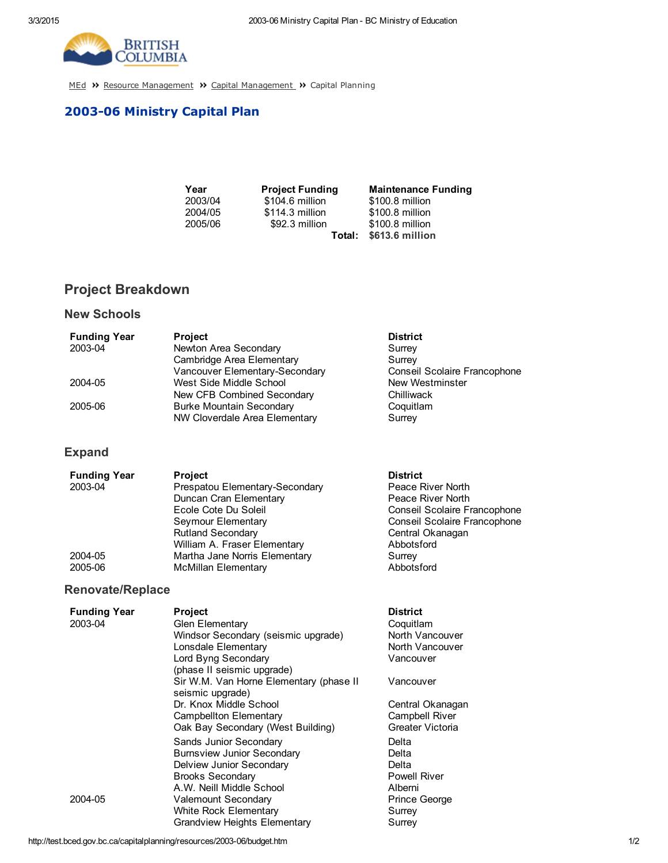

[MEd](http://test.bced.gov.bc.ca/) >> Resource [Management](http://test.bced.gov.bc.ca/departments/resource_man/capitalmanagement.htm) >> Capital Management >> Capital Planning

### 2003-06 Ministry Capital Plan

| Year    | <b>Project Funding</b> | <b>Maintenance Funding</b> |
|---------|------------------------|----------------------------|
| 2003/04 | \$104.6 million        | \$100.8 million            |
| 2004/05 | \$114.3 million        | \$100.8 million            |
| 2005/06 | \$92.3 million         | \$100.8 million            |
|         | Total:                 | \$613.6 million            |

# Project Breakdown

#### New Schools

| <b>Funding Year</b> | <b>Project</b>                  | <b>District</b>              |
|---------------------|---------------------------------|------------------------------|
| 2003-04             | Newton Area Secondary           | Surrey                       |
|                     | Cambridge Area Elementary       | Surrey                       |
|                     | Vancouver Elementary-Secondary  | Conseil Scolaire Francophone |
| 2004-05             | West Side Middle School         | New Westminster              |
|                     | New CFB Combined Secondary      | Chilliwack                   |
| 2005-06             | <b>Burke Mountain Secondary</b> | Coquitlam                    |
|                     | NW Cloverdale Area Elementary   | Surrey                       |

### Expand

| <b>Funding Year</b> | <b>Project</b>                 | <b>District</b>              |
|---------------------|--------------------------------|------------------------------|
| 2003-04             | Prespatou Elementary-Secondary | Peace River North            |
|                     | Duncan Cran Elementary         | Peace River North            |
|                     | Ecole Cote Du Soleil           | Conseil Scolaire Francophone |
|                     | Seymour Elementary             | Conseil Scolaire Francophone |
|                     | <b>Rutland Secondary</b>       | Central Okanagan             |
|                     | William A. Fraser Elementary   | Abbotsford                   |
| 2004-05             | Martha Jane Norris Elementary  | Surrey                       |
| 2005-06             | <b>McMillan Elementary</b>     | Abbotsford                   |

### Renovate/Replace

| <b>Funding Year</b><br>2003-04 | <b>Project</b><br>Glen Elementary<br>Windsor Secondary (seismic upgrade)<br>Lonsdale Elementary<br>Lord Byng Secondary<br>(phase II seismic upgrade) | <b>District</b><br>Coquitlam<br>North Vancouver<br>North Vancouver<br>Vancouver |
|--------------------------------|------------------------------------------------------------------------------------------------------------------------------------------------------|---------------------------------------------------------------------------------|
|                                | Sir W.M. Van Horne Elementary (phase II<br>seismic upgrade)                                                                                          | Vancouver                                                                       |
|                                | Dr. Knox Middle School<br>Campbellton Elementary<br>Oak Bay Secondary (West Building)                                                                | Central Okanagan<br>Campbell River<br>Greater Victoria                          |
|                                | Sands Junior Secondary<br><b>Burnsview Junior Secondary</b><br>Delview Junior Secondary<br><b>Brooks Secondary</b><br>A.W. Neill Middle School       | Delta<br>Delta<br>Delta<br><b>Powell River</b><br>Alberni                       |
| 2004-05                        | Valemount Secondary<br>White Rock Elementary<br><b>Grandview Heights Elementary</b>                                                                  | Prince George<br>Surrey<br>Surrey                                               |